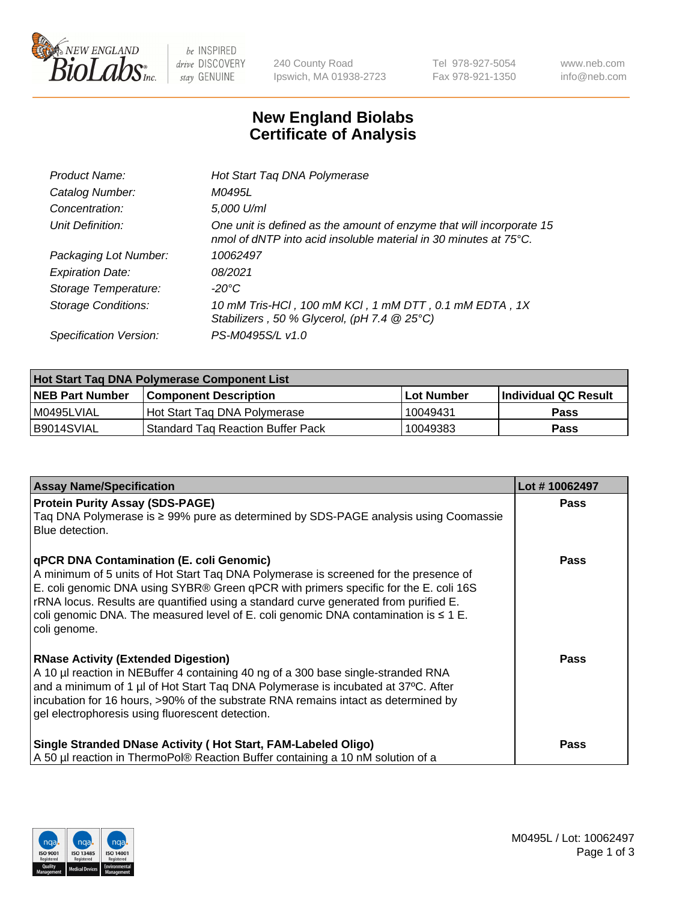

 $be$  INSPIRED drive DISCOVERY stay GENUINE

240 County Road Ipswich, MA 01938-2723 Tel 978-927-5054 Fax 978-921-1350 www.neb.com info@neb.com

## **New England Biolabs Certificate of Analysis**

| Product Name:              | Hot Start Taq DNA Polymerase                                                                                                                       |
|----------------------------|----------------------------------------------------------------------------------------------------------------------------------------------------|
| Catalog Number:            | M0495L                                                                                                                                             |
| Concentration:             | 5,000 U/ml                                                                                                                                         |
| Unit Definition:           | One unit is defined as the amount of enzyme that will incorporate 15<br>nmol of dNTP into acid insoluble material in 30 minutes at $75^{\circ}$ C. |
| Packaging Lot Number:      | 10062497                                                                                                                                           |
| <b>Expiration Date:</b>    | 08/2021                                                                                                                                            |
| Storage Temperature:       | $-20^{\circ}$ C                                                                                                                                    |
| <b>Storage Conditions:</b> | 10 mM Tris-HCl, 100 mM KCl, 1 mM DTT, 0.1 mM EDTA, 1X<br>Stabilizers, 50 % Glycerol, (pH 7.4 @ 25°C)                                               |
| Specification Version:     | PS-M0495S/L v1.0                                                                                                                                   |

| Hot Start Tag DNA Polymerase Component List |                                          |                   |                      |  |  |
|---------------------------------------------|------------------------------------------|-------------------|----------------------|--|--|
| <b>NEB Part Number</b>                      | <b>Component Description</b>             | <b>Lot Number</b> | Individual QC Result |  |  |
| I M0495LVIAL                                | Hot Start Tag DNA Polymerase             | 10049431          | <b>Pass</b>          |  |  |
| B9014SVIAL                                  | <b>Standard Tag Reaction Buffer Pack</b> | 10049383          | Pass                 |  |  |

| <b>Assay Name/Specification</b>                                                                                                                                                                                                                                                                                                                                                                                              | Lot #10062497 |
|------------------------------------------------------------------------------------------------------------------------------------------------------------------------------------------------------------------------------------------------------------------------------------------------------------------------------------------------------------------------------------------------------------------------------|---------------|
| <b>Protein Purity Assay (SDS-PAGE)</b><br>Taq DNA Polymerase is ≥ 99% pure as determined by SDS-PAGE analysis using Coomassie<br>Blue detection.                                                                                                                                                                                                                                                                             | <b>Pass</b>   |
| qPCR DNA Contamination (E. coli Genomic)<br>A minimum of 5 units of Hot Start Taq DNA Polymerase is screened for the presence of<br>E. coli genomic DNA using SYBR® Green qPCR with primers specific for the E. coli 16S<br>rRNA locus. Results are quantified using a standard curve generated from purified E.<br>coli genomic DNA. The measured level of E. coli genomic DNA contamination is $\leq 1$ E.<br>coli genome. | Pass          |
| <b>RNase Activity (Extended Digestion)</b><br>A 10 µl reaction in NEBuffer 4 containing 40 ng of a 300 base single-stranded RNA<br>and a minimum of 1 µl of Hot Start Taq DNA Polymerase is incubated at 37°C. After<br>incubation for 16 hours, >90% of the substrate RNA remains intact as determined by<br>gel electrophoresis using fluorescent detection.                                                               | <b>Pass</b>   |
| Single Stranded DNase Activity (Hot Start, FAM-Labeled Oligo)<br>A 50 µl reaction in ThermoPol® Reaction Buffer containing a 10 nM solution of a                                                                                                                                                                                                                                                                             | Pass          |

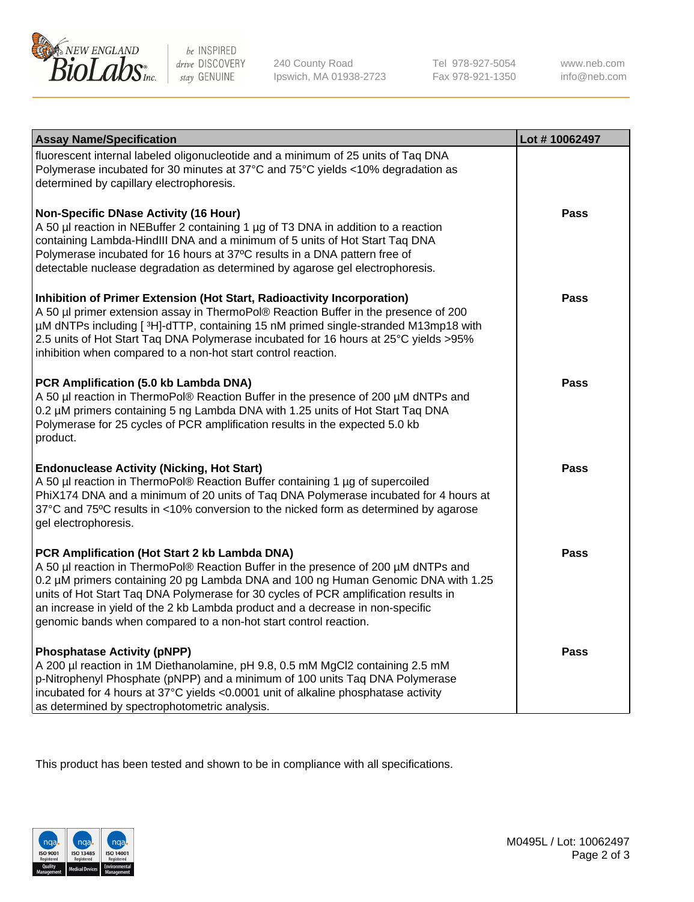

 $be$  INSPIRED drive DISCOVERY stay GENUINE

240 County Road Ipswich, MA 01938-2723 Tel 978-927-5054 Fax 978-921-1350 www.neb.com info@neb.com

| <b>Assay Name/Specification</b>                                                                                                                                                                                                                                                                                                                                                                                                                                       | Lot #10062497 |
|-----------------------------------------------------------------------------------------------------------------------------------------------------------------------------------------------------------------------------------------------------------------------------------------------------------------------------------------------------------------------------------------------------------------------------------------------------------------------|---------------|
| fluorescent internal labeled oligonucleotide and a minimum of 25 units of Taq DNA<br>Polymerase incubated for 30 minutes at 37°C and 75°C yields <10% degradation as<br>determined by capillary electrophoresis.                                                                                                                                                                                                                                                      |               |
| <b>Non-Specific DNase Activity (16 Hour)</b><br>A 50 µl reaction in NEBuffer 2 containing 1 µg of T3 DNA in addition to a reaction<br>containing Lambda-HindIII DNA and a minimum of 5 units of Hot Start Taq DNA<br>Polymerase incubated for 16 hours at 37°C results in a DNA pattern free of<br>detectable nuclease degradation as determined by agarose gel electrophoresis.                                                                                      | <b>Pass</b>   |
| Inhibition of Primer Extension (Hot Start, Radioactivity Incorporation)<br>A 50 µl primer extension assay in ThermoPol® Reaction Buffer in the presence of 200<br>µM dNTPs including [3H]-dTTP, containing 15 nM primed single-stranded M13mp18 with<br>2.5 units of Hot Start Taq DNA Polymerase incubated for 16 hours at 25°C yields > 95%<br>inhibition when compared to a non-hot start control reaction.                                                        | <b>Pass</b>   |
| PCR Amplification (5.0 kb Lambda DNA)<br>A 50 µl reaction in ThermoPol® Reaction Buffer in the presence of 200 µM dNTPs and<br>0.2 µM primers containing 5 ng Lambda DNA with 1.25 units of Hot Start Taq DNA<br>Polymerase for 25 cycles of PCR amplification results in the expected 5.0 kb<br>product.                                                                                                                                                             | <b>Pass</b>   |
| <b>Endonuclease Activity (Nicking, Hot Start)</b><br>A 50 µl reaction in ThermoPol® Reaction Buffer containing 1 µg of supercoiled<br>PhiX174 DNA and a minimum of 20 units of Taq DNA Polymerase incubated for 4 hours at<br>37°C and 75°C results in <10% conversion to the nicked form as determined by agarose<br>gel electrophoresis.                                                                                                                            | <b>Pass</b>   |
| PCR Amplification (Hot Start 2 kb Lambda DNA)<br>A 50 µl reaction in ThermoPol® Reaction Buffer in the presence of 200 µM dNTPs and<br>0.2 µM primers containing 20 pg Lambda DNA and 100 ng Human Genomic DNA with 1.25<br>units of Hot Start Taq DNA Polymerase for 30 cycles of PCR amplification results in<br>an increase in yield of the 2 kb Lambda product and a decrease in non-specific<br>genomic bands when compared to a non-hot start control reaction. | <b>Pass</b>   |
| <b>Phosphatase Activity (pNPP)</b><br>A 200 µl reaction in 1M Diethanolamine, pH 9.8, 0.5 mM MgCl2 containing 2.5 mM<br>p-Nitrophenyl Phosphate (pNPP) and a minimum of 100 units Taq DNA Polymerase<br>incubated for 4 hours at 37°C yields <0.0001 unit of alkaline phosphatase activity<br>as determined by spectrophotometric analysis.                                                                                                                           | Pass          |

This product has been tested and shown to be in compliance with all specifications.